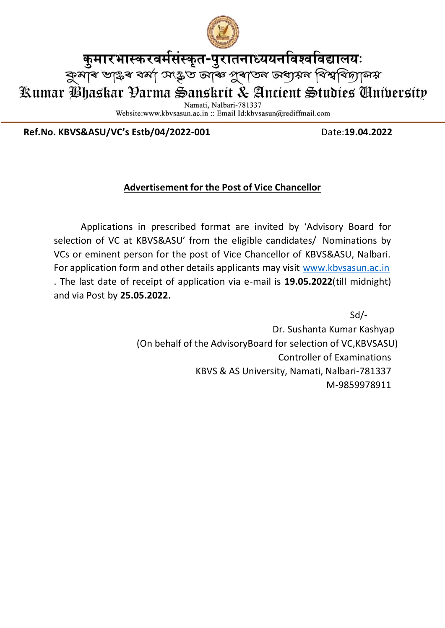

कुमारभास्करवर्मसंस्कृत-पुरातनाध्ययनविश्वविद्यालयः

ৰ্কুমাৰ ভাষ্টৰ বৰ্মা সংষ্কৃত আৰু পূৰাতন অধ্যয়ন বিশ্ববিদ্যালয়

Kumar Bhaskar Đarma Sanskrit & Ancient Studies Gnibersity

Namati, Nalbari-781337

Website:www.kbvsasun.ac.in: Email Id:kbvsasun@rediffmail.com

**Ref.No. KBVS&ASU/VC's Estb/04/2022-001** Date:**19.04.2022**

## **Advertisement for the Post of Vice Chancellor**

Applications in prescribed format are invited by 'Advisory Board for selection of VC at KBVS&ASU' from the eligible candidates/ Nominations by VCs or eminent person for the post of Vice Chancellor of KBVS&ASU, Nalbari. For application form and other details applicants may visit [www.kbvsasun.ac.in](http://www.kbvsasun.ac.in/) . The last date of receipt of application via e-mail is **19.05.2022**(till midnight) and via Post by **25.05.2022.**

> Sd/- Dr. Sushanta Kumar Kashyap (On behalf of the AdvisoryBoard for selection of VC,KBVSASU) Controller of Examinations KBVS & AS University, Namati, Nalbari-781337 M-9859978911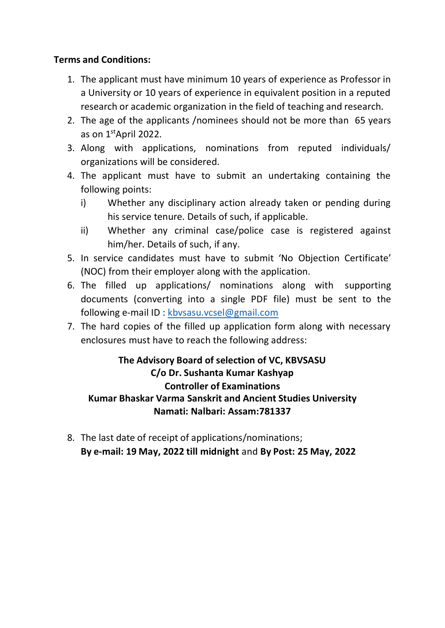#### **Terms and Conditions:**

- 1. The applicant must have minimum 10 years of experience as Professor in a University or 10 years of experience in equivalent position in a reputed research or academic organization in the field of teaching and research.
- 2. The age of the applicants /nominees should not be more than 65 years as on 1<sup>st</sup>April 2022.
- 3. Along with applications, nominations from reputed individuals/ organizations will be considered.
- 4. The applicant must have to submit an undertaking containing the following points:
	- i) Whether any disciplinary action already taken or pending during his service tenure. Details of such, if applicable.
	- ii) Whether any criminal case/police case is registered against him/her. Details of such, if any.
- 5. In service candidates must have to submit 'No Objection Certificate' (NOC) from their employer along with the application.
- 6. The filled up applications/ nominations along with supporting documents (converting into a single PDF file) must be sent to the following e-mail ID : [kbvsasu.vcsel@gmail.com](mailto:kbvsasu.vcsel@gmail.com)
- 7. The hard copies of the filled up application form along with necessary enclosures must have to reach the following address:

## **The Advisory Board of selection of VC, KBVSASU C/o Dr. Sushanta Kumar Kashyap Controller of Examinations Kumar Bhaskar Varma Sanskrit and Ancient Studies University Namati: Nalbari: Assam:781337**

8. The last date of receipt of applications/nominations; **By e-mail: 19 May, 2022 till midnight** and **By Post: 25 May, 2022**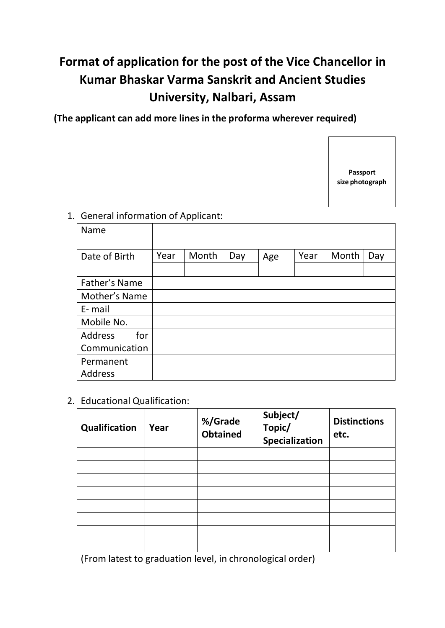# **Format of application for the post of the Vice Chancellor in Kumar Bhaskar Varma Sanskrit and Ancient Studies University, Nalbari, Assam**

**(The applicant can add more lines in the proforma wherever required)**



#### 1. General information of Applicant:

| Name                  |      |       |     |     |      |       |     |
|-----------------------|------|-------|-----|-----|------|-------|-----|
| Date of Birth         | Year | Month | Day | Age | Year | Month | Day |
|                       |      |       |     |     |      |       |     |
| Father's Name         |      |       |     |     |      |       |     |
| Mother's Name         |      |       |     |     |      |       |     |
| E-mail                |      |       |     |     |      |       |     |
| Mobile No.            |      |       |     |     |      |       |     |
| for<br><b>Address</b> |      |       |     |     |      |       |     |
| Communication         |      |       |     |     |      |       |     |
| Permanent             |      |       |     |     |      |       |     |
| Address               |      |       |     |     |      |       |     |

2. Educational Qualification:

| Qualification | Year | %/Grade<br>Obtained | Subject/<br>Topic/<br>Specialization | <b>Distinctions</b><br>etc. |
|---------------|------|---------------------|--------------------------------------|-----------------------------|
|               |      |                     |                                      |                             |
|               |      |                     |                                      |                             |
|               |      |                     |                                      |                             |
|               |      |                     |                                      |                             |
|               |      |                     |                                      |                             |
|               |      |                     |                                      |                             |
|               |      |                     |                                      |                             |
|               |      |                     |                                      |                             |

(From latest to graduation level, in chronological order)